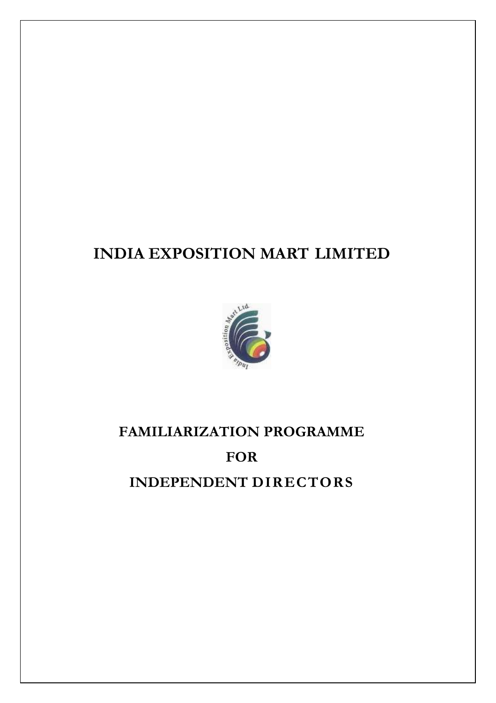## **INDIA EXPOSITION MART LIMITED**



# **FAMILIARIZATION PROGRAMME FOR**

**INDEPENDENT DIRECTORS**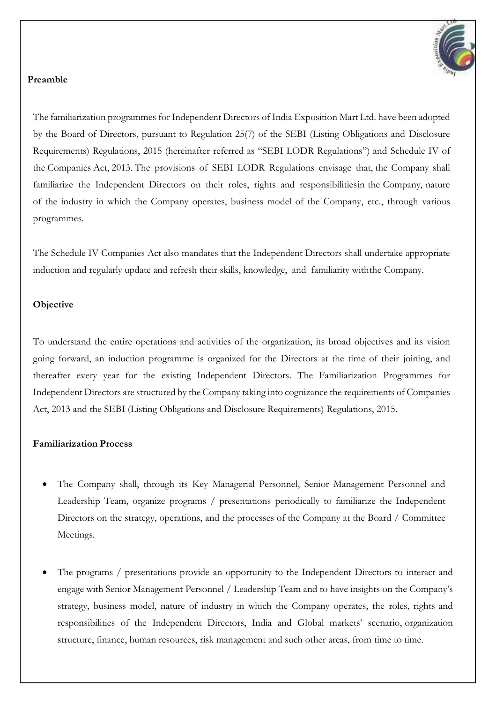

#### **Preamble**

The familiarization programmes for Independent Directors of India Exposition Mart Ltd. have been adopted by the Board of Directors, pursuant to Regulation 25(7) of the SEBI (Listing Obligations and Disclosure Requirements) Regulations, 2015 (hereinafter referred as "SEBI LODR Regulations") and Schedule IV of the Companies Act, 2013. The provisions of SEBI LODR Regulations envisage that, the Company shall familiarize the Independent Directors on their roles, rights and responsibilitiesin the Company, nature of the industry in which the Company operates, business model of the Company, etc., through various programmes.

The Schedule IV Companies Act also mandates that the Independent Directors shall undertake appropriate induction and regularly update and refresh their skills, knowledge, and familiarity withthe Company.

#### **Objective**

To understand the entire operations and activities of the organization, its broad objectives and its vision going forward, an induction programme is organized for the Directors at the time of their joining, and thereafter every year for the existing Independent Directors. The Familiarization Programmes for Independent Directors are structured by the Company taking into cognizance the requirements of Companies Act, 2013 and the SEBI (Listing Obligations and Disclosure Requirements) Regulations, 2015.

#### **Familiarization Process**

- The Company shall, through its Key Managerial Personnel, Senior Management Personnel and Leadership Team, organize programs / presentations periodically to familiarize the Independent Directors on the strategy, operations, and the processes of the Company at the Board / Committee Meetings.
- The programs / presentations provide an opportunity to the Independent Directors to interact and engage with Senior Management Personnel / Leadership Team and to have insights on the Company's strategy, business model, nature of industry in which the Company operates, the roles, rights and responsibilities of the Independent Directors, India and Global markets' scenario, organization structure, finance, human resources, risk management and such other areas, from time to time.